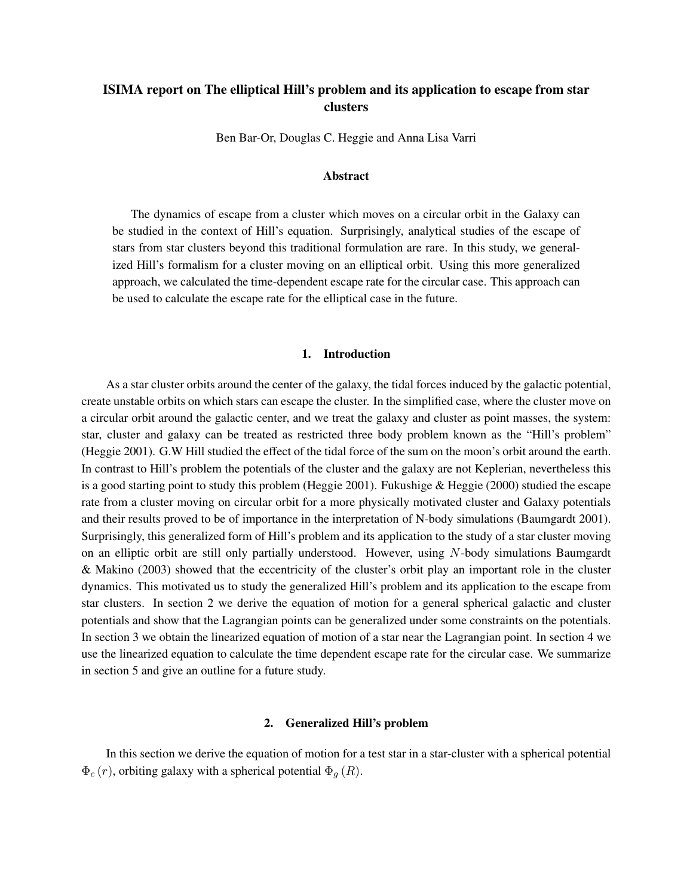# ISIMA report on The elliptical Hill's problem and its application to escape from star clusters

Ben Bar-Or, Douglas C. Heggie and Anna Lisa Varri

#### Abstract

The dynamics of escape from a cluster which moves on a circular orbit in the Galaxy can be studied in the context of Hill's equation. Surprisingly, analytical studies of the escape of stars from star clusters beyond this traditional formulation are rare. In this study, we generalized Hill's formalism for a cluster moving on an elliptical orbit. Using this more generalized approach, we calculated the time-dependent escape rate for the circular case. This approach can be used to calculate the escape rate for the elliptical case in the future.

# 1. Introduction

As a star cluster orbits around the center of the galaxy, the tidal forces induced by the galactic potential, create unstable orbits on which stars can escape the cluster. In the simplified case, where the cluster move on a circular orbit around the galactic center, and we treat the galaxy and cluster as point masses, the system: star, cluster and galaxy can be treated as restricted three body problem known as the "Hill's problem" (Heggie 2001). G.W Hill studied the effect of the tidal force of the sum on the moon's orbit around the earth. In contrast to Hill's problem the potentials of the cluster and the galaxy are not Keplerian, nevertheless this is a good starting point to study this problem (Heggie 2001). Fukushige & Heggie (2000) studied the escape rate from a cluster moving on circular orbit for a more physically motivated cluster and Galaxy potentials and their results proved to be of importance in the interpretation of N-body simulations (Baumgardt 2001). Surprisingly, this generalized form of Hill's problem and its application to the study of a star cluster moving on an elliptic orbit are still only partially understood. However, using N-body simulations Baumgardt & Makino (2003) showed that the eccentricity of the cluster's orbit play an important role in the cluster dynamics. This motivated us to study the generalized Hill's problem and its application to the escape from star clusters. In section 2 we derive the equation of motion for a general spherical galactic and cluster potentials and show that the Lagrangian points can be generalized under some constraints on the potentials. In section 3 we obtain the linearized equation of motion of a star near the Lagrangian point. In section 4 we use the linearized equation to calculate the time dependent escape rate for the circular case. We summarize in section 5 and give an outline for a future study.

#### 2. Generalized Hill's problem

In this section we derive the equation of motion for a test star in a star-cluster with a spherical potential  $\Phi_c(r)$ , orbiting galaxy with a spherical potential  $\Phi_g(R)$ .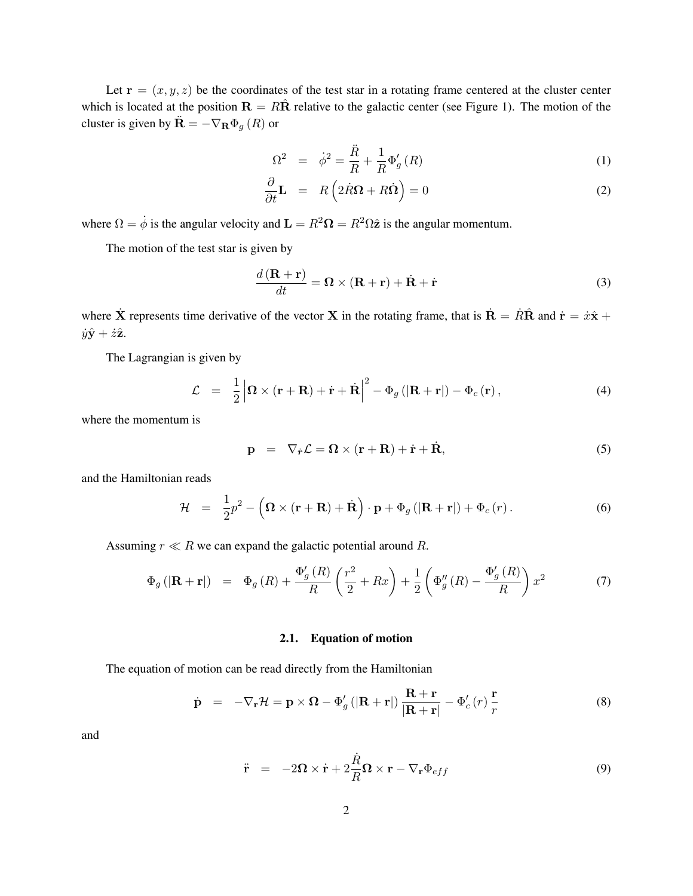Let  $\mathbf{r} = (x, y, z)$  be the coordinates of the test star in a rotating frame centered at the cluster center which is located at the position  $\mathbf{R} = R\hat{\mathbf{R}}$  relative to the galactic center (see Figure 1). The motion of the cluster is given by  $\ddot{\mathbf{R}} = -\nabla_{\mathbf{R}} \Phi_g(R)$  or

$$
\Omega^2 = \dot{\phi}^2 = \frac{\ddot{R}}{R} + \frac{1}{R} \Phi_g'(R)
$$
 (1)

$$
\frac{\partial}{\partial t} \mathbf{L} = R \left( 2 \dot{R} \mathbf{\Omega} + R \dot{\mathbf{\Omega}} \right) = 0 \tag{2}
$$

where  $\Omega = \dot{\phi}$  is the angular velocity and  $\mathbf{L} = R^2 \Omega = R^2 \Omega \hat{\mathbf{z}}$  is the angular momentum.

The motion of the test star is given by

$$
\frac{d\left(\mathbf{R} + \mathbf{r}\right)}{dt} = \mathbf{\Omega} \times \left(\mathbf{R} + \mathbf{r}\right) + \dot{\mathbf{R}} + \dot{\mathbf{r}} \tag{3}
$$

where  $\dot{\mathbf{X}}$  represents time derivative of the vector  $\mathbf{X}$  in the rotating frame, that is  $\dot{\mathbf{R}} = \dot{R}\hat{\mathbf{R}}$  and  $\dot{\mathbf{r}} = \dot{x}\hat{x} + \dot{y}\hat{y}$  $\dot{y}\hat{\mathbf{y}} + \dot{z}\hat{\mathbf{z}}$ .

The Lagrangian is given by

$$
\mathcal{L} = \frac{1}{2} \left| \mathbf{\Omega} \times (\mathbf{r} + \mathbf{R}) + \dot{\mathbf{r}} + \dot{\mathbf{R}} \right|^2 - \Phi_g (|\mathbf{R} + \mathbf{r}|) - \Phi_c (\mathbf{r}), \tag{4}
$$

where the momentum is

$$
\mathbf{p} = \nabla_{\dot{\mathbf{r}}} \mathcal{L} = \mathbf{\Omega} \times (\mathbf{r} + \mathbf{R}) + \dot{\mathbf{r}} + \dot{\mathbf{R}},
$$
\n(5)

and the Hamiltonian reads

$$
\mathcal{H} = \frac{1}{2}p^2 - \left(\mathbf{\Omega} \times (\mathbf{r} + \mathbf{R}) + \dot{\mathbf{R}}\right) \cdot \mathbf{p} + \Phi_g\left(|\mathbf{R} + \mathbf{r}|\right) + \Phi_c\left(r\right). \tag{6}
$$

Assuming  $r \ll R$  we can expand the galactic potential around R.

$$
\Phi_g\left(|\mathbf{R}+\mathbf{r}|\right) = \Phi_g\left(R\right) + \frac{\Phi'_g\left(R\right)}{R} \left(\frac{r^2}{2} + Rx\right) + \frac{1}{2} \left(\Phi''_g\left(R\right) - \frac{\Phi'_g\left(R\right)}{R}\right) x^2 \tag{7}
$$

#### 2.1. Equation of motion

The equation of motion can be read directly from the Hamiltonian

$$
\dot{\mathbf{p}} = -\nabla_{\mathbf{r}} \mathcal{H} = \mathbf{p} \times \mathbf{\Omega} - \Phi'_{g} \left( |\mathbf{R} + \mathbf{r}| \right) \frac{\mathbf{R} + \mathbf{r}}{|\mathbf{R} + \mathbf{r}|} - \Phi'_{c}(r) \frac{\mathbf{r}}{r}
$$
(8)

and

$$
\ddot{\mathbf{r}} = -2\mathbf{\Omega} \times \dot{\mathbf{r}} + 2\frac{\dot{R}}{R}\mathbf{\Omega} \times \mathbf{r} - \nabla_{\mathbf{r}}\Phi_{eff}
$$
(9)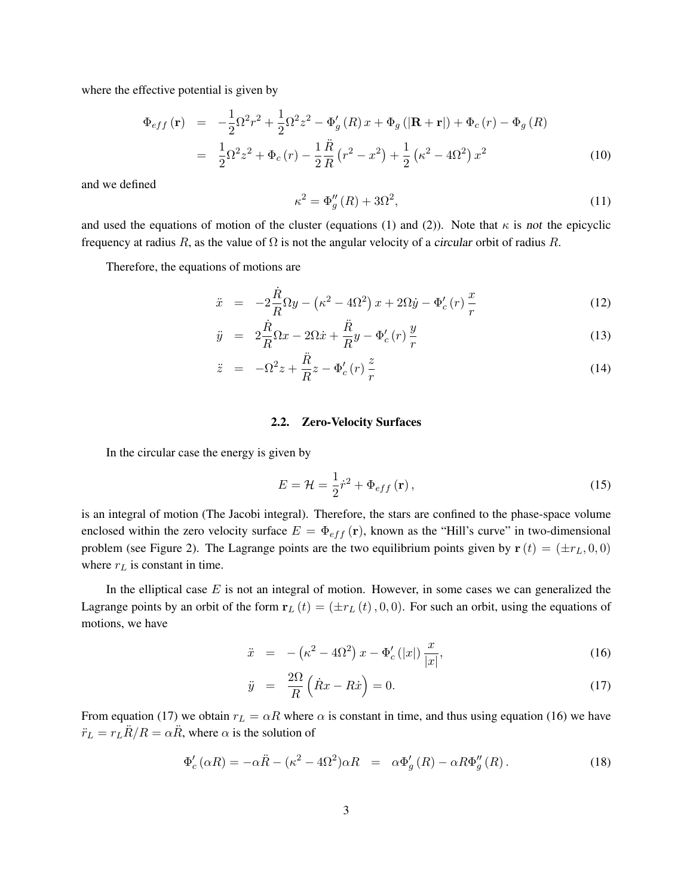where the effective potential is given by

$$
\Phi_{eff}(\mathbf{r}) = -\frac{1}{2}\Omega^2 r^2 + \frac{1}{2}\Omega^2 z^2 - \Phi'_g(R)x + \Phi_g(|\mathbf{R} + \mathbf{r}|) + \Phi_c(r) - \Phi_g(R)
$$
\n
$$
= \frac{1}{2}\Omega^2 z^2 + \Phi_c(r) - \frac{1}{2}\frac{\ddot{R}}{R}(r^2 - x^2) + \frac{1}{2}(\kappa^2 - 4\Omega^2)x^2
$$
\n(10)

and we defined

$$
\kappa^2 = \Phi_g''(R) + 3\Omega^2,\tag{11}
$$

and used the equations of motion of the cluster (equations (1) and (2)). Note that  $\kappa$  is not the epicyclic frequency at radius R, as the value of  $\Omega$  is not the angular velocity of a circular orbit of radius R.

Therefore, the equations of motions are

$$
\ddot{x} = -2\frac{\dot{R}}{R}\Omega y - \left(\kappa^2 - 4\Omega^2\right)x + 2\Omega \dot{y} - \Phi_c'(r)\frac{x}{r}
$$
\n(12)

$$
\ddot{y} = 2\frac{\dot{R}}{R}\Omega x - 2\Omega \dot{x} + \frac{\ddot{R}}{R}y - \Phi_c'(r)\frac{y}{r}
$$
\n(13)

$$
\ddot{z} = -\Omega^2 z + \frac{\ddot{R}}{R} z - \Phi_c'(r) \frac{z}{r}
$$
\n(14)

#### 2.2. Zero-Velocity Surfaces

In the circular case the energy is given by

$$
E = \mathcal{H} = \frac{1}{2}\dot{r}^2 + \Phi_{eff}(\mathbf{r}),\tag{15}
$$

is an integral of motion (The Jacobi integral). Therefore, the stars are confined to the phase-space volume enclosed within the zero velocity surface  $E = \Phi_{eff}(\mathbf{r})$ , known as the "Hill's curve" in two-dimensional problem (see Figure 2). The Lagrange points are the two equilibrium points given by  $\mathbf{r}(t) = (\pm r_L, 0, 0)$ where  $r<sub>L</sub>$  is constant in time.

In the elliptical case  $E$  is not an integral of motion. However, in some cases we can generalized the Lagrange points by an orbit of the form  $r_L (t) = (\pm r_L (t), 0, 0)$ . For such an orbit, using the equations of motions, we have

$$
\ddot{x} = -(\kappa^2 - 4\Omega^2) x - \Phi_c'(|x|) \frac{x}{|x|},
$$
\n(16)

$$
\ddot{y} = \frac{2\Omega}{R} \left( \dot{R}x - R\dot{x} \right) = 0. \tag{17}
$$

From equation (17) we obtain  $r_L = \alpha R$  where  $\alpha$  is constant in time, and thus using equation (16) we have  $\ddot{r}_L = r_L \ddot{R}/R = \alpha \ddot{R}$ , where  $\alpha$  is the solution of

$$
\Phi'_{c}(\alpha R) = -\alpha \ddot{R} - (\kappa^2 - 4\Omega^2)\alpha R = \alpha \Phi'_{g}(R) - \alpha R \Phi''_{g}(R). \qquad (18)
$$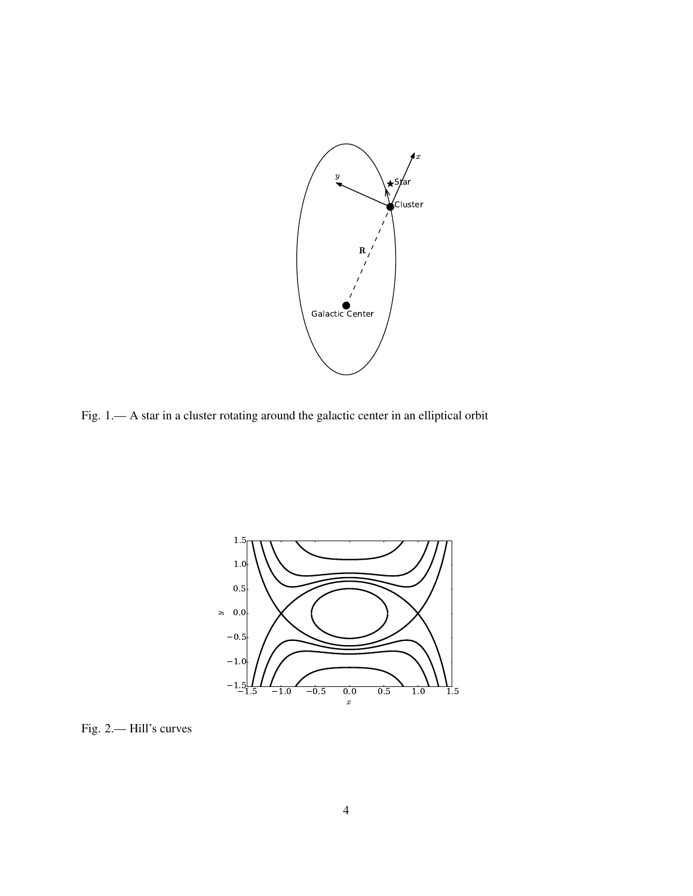

Fig. 1.— A star in a cluster rotating around the galactic center in an elliptical orbit



Fig. 2.— Hill's curves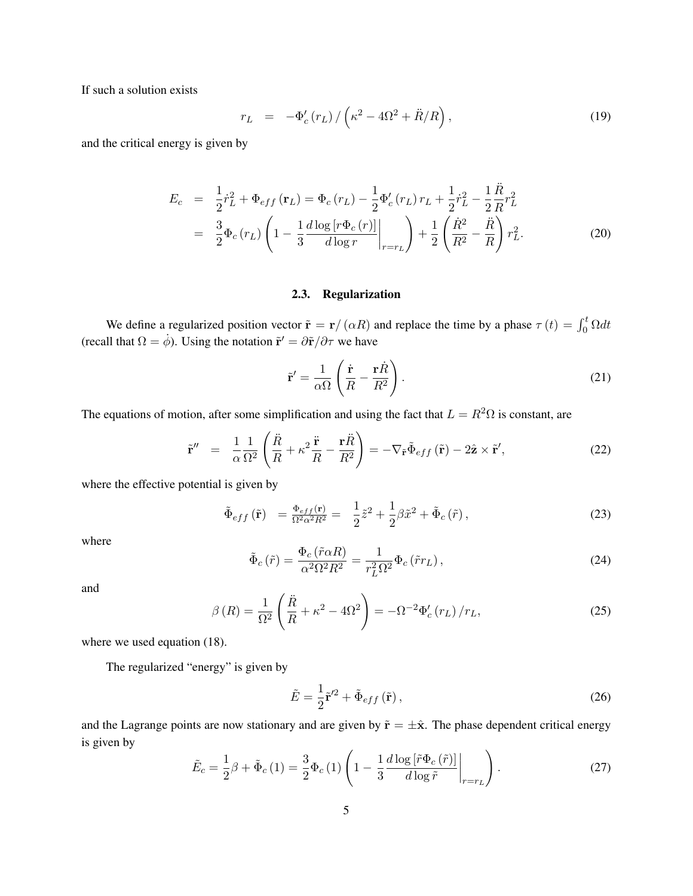If such a solution exists

$$
r_L = -\Phi_c'(r_L) / \left(\kappa^2 - 4\Omega^2 + \ddot{R}/R\right),\tag{19}
$$

and the critical energy is given by

$$
E_c = \frac{1}{2}\dot{r}_L^2 + \Phi_{eff}(\mathbf{r}_L) = \Phi_c(r_L) - \frac{1}{2}\Phi_c'(r_L)r_L + \frac{1}{2}\dot{r}_L^2 - \frac{1}{2}\frac{\ddot{R}}{R}r_L^2
$$
  

$$
= \frac{3}{2}\Phi_c(r_L)\left(1 - \frac{1}{3}\frac{d\log[r\Phi_c(r)]}{d\log r}\bigg|_{r=r_L}\right) + \frac{1}{2}\left(\frac{\dot{R}^2}{R^2} - \frac{\ddot{R}}{R}\right)r_L^2.
$$
(20)

### 2.3. Regularization

We define a regularized position vector  $\tilde{\mathbf{r}} = \mathbf{r}/(\alpha R)$  and replace the time by a phase  $\tau(t) = \int_0^t \Omega dt$ (recall that  $\Omega = \dot{\phi}$ ). Using the notation  $\tilde{\mathbf{r}}' = \frac{\partial \tilde{\mathbf{r}}}{\partial \tau}$  we have

$$
\tilde{\mathbf{r}}' = \frac{1}{\alpha \Omega} \left( \frac{\dot{\mathbf{r}}}{R} - \frac{\mathbf{r}\dot{R}}{R^2} \right).
$$
 (21)

The equations of motion, after some simplification and using the fact that  $L = R^2 \Omega$  is constant, are

$$
\tilde{\mathbf{r}}'' = \frac{1}{\alpha} \frac{1}{\Omega^2} \left( \frac{\ddot{R}}{R} + \kappa^2 \frac{\ddot{\mathbf{r}}}{R} - \frac{\mathbf{r}\ddot{R}}{R^2} \right) = -\nabla_{\tilde{\mathbf{r}}} \tilde{\Phi}_{eff} (\tilde{\mathbf{r}}) - 2\hat{\mathbf{z}} \times \tilde{\mathbf{r}}', \tag{22}
$$

where the effective potential is given by

$$
\tilde{\Phi}_{eff}(\tilde{\mathbf{r}}) = \frac{\Phi_{eff}(\mathbf{r})}{\Omega^2 \alpha^2 R^2} = \frac{1}{2}\tilde{z}^2 + \frac{1}{2}\beta \tilde{x}^2 + \tilde{\Phi}_c(\tilde{r}),
$$
\n(23)

where

$$
\tilde{\Phi}_c(\tilde{r}) = \frac{\Phi_c(\tilde{r}\alpha R)}{\alpha^2 \Omega^2 R^2} = \frac{1}{r_L^2 \Omega^2} \Phi_c(\tilde{r}r_L),\tag{24}
$$

and

$$
\beta(R) = \frac{1}{\Omega^2} \left( \frac{\ddot{R}}{R} + \kappa^2 - 4\Omega^2 \right) = -\Omega^{-2} \Phi_c'(r_L) / r_L,
$$
\n(25)

where we used equation (18).

The regularized "energy" is given by

$$
\tilde{E} = \frac{1}{2}\tilde{\mathbf{r}}'^2 + \tilde{\Phi}_{eff}(\tilde{\mathbf{r}}),
$$
\n(26)

and the Lagrange points are now stationary and are given by  $\tilde{\mathbf{r}} = \pm \hat{\mathbf{x}}$ . The phase dependent critical energy is given by

$$
\tilde{E}_c = \frac{1}{2}\beta + \tilde{\Phi}_c(1) = \frac{3}{2}\Phi_c(1)\left(1 - \frac{1}{3}\frac{d\log\left[\tilde{r}\Phi_c\left(\tilde{r}\right)\right]}{d\log\tilde{r}}\bigg|_{r=r_L}\right). \tag{27}
$$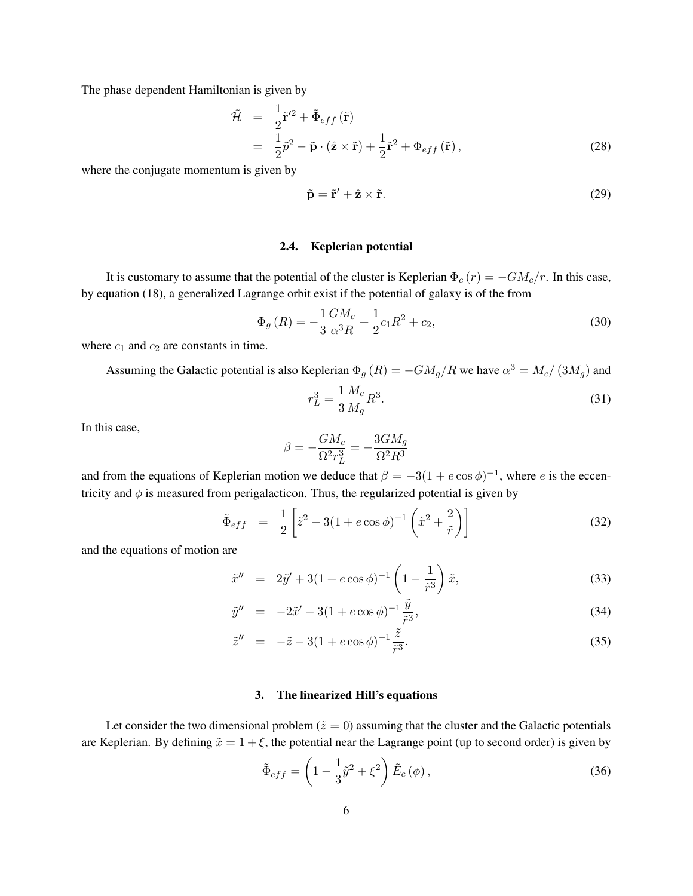The phase dependent Hamiltonian is given by

$$
\tilde{\mathcal{H}} = \frac{1}{2} \tilde{\mathbf{r}}'^2 + \tilde{\Phi}_{eff} (\tilde{\mathbf{r}})
$$
\n
$$
= \frac{1}{2} \tilde{p}^2 - \tilde{\mathbf{p}} \cdot (\hat{\mathbf{z}} \times \tilde{\mathbf{r}}) + \frac{1}{2} \tilde{\mathbf{r}}^2 + \Phi_{eff} (\tilde{\mathbf{r}}),
$$
\n(28)

where the conjugate momentum is given by

$$
\tilde{\mathbf{p}} = \tilde{\mathbf{r}}' + \hat{\mathbf{z}} \times \tilde{\mathbf{r}}.\tag{29}
$$

#### 2.4. Keplerian potential

It is customary to assume that the potential of the cluster is Keplerian  $\Phi_c(r) = -GM_c/r$ . In this case, by equation (18), a generalized Lagrange orbit exist if the potential of galaxy is of the from

$$
\Phi_g(R) = -\frac{1}{3} \frac{GM_c}{\alpha^3 R} + \frac{1}{2} c_1 R^2 + c_2,\tag{30}
$$

where  $c_1$  and  $c_2$  are constants in time.

Assuming the Galactic potential is also Keplerian  $\Phi_g (R) = -GM_g/R$  we have  $\alpha^3 = M_c/(3M_g)$  and

$$
r_L^3 = \frac{1}{3} \frac{M_c}{M_g} R^3.
$$
\n(31)

In this case,

$$
\beta = -\frac{GM_c}{\Omega^2 r_L^3} = -\frac{3GM_g}{\Omega^2 R^3}
$$

and from the equations of Keplerian motion we deduce that  $\beta = -3(1 + e \cos \phi)^{-1}$ , where e is the eccentricity and  $\phi$  is measured from perigalacticon. Thus, the regularized potential is given by

$$
\tilde{\Phi}_{eff} = \frac{1}{2} \left[ \tilde{z}^2 - 3(1 + e \cos \phi)^{-1} \left( \tilde{x}^2 + \frac{2}{\tilde{r}} \right) \right]
$$
\n(32)

and the equations of motion are

$$
\tilde{x}'' = 2\tilde{y}' + 3(1 + e \cos \phi)^{-1} \left(1 - \frac{1}{\tilde{r}^3}\right) \tilde{x},\tag{33}
$$

$$
\tilde{y}'' = -2\tilde{x}' - 3(1 + e \cos \phi)^{-1} \frac{\tilde{y}}{\tilde{r}^3},\tag{34}
$$

$$
\tilde{z}'' = -\tilde{z} - 3(1 + e \cos \phi)^{-1} \frac{\tilde{z}}{\tilde{r}^3}.
$$
\n(35)

#### 3. The linearized Hill's equations

Let consider the two dimensional problem ( $\tilde{z} = 0$ ) assuming that the cluster and the Galactic potentials are Keplerian. By defining  $\tilde{x} = 1 + \xi$ , the potential near the Lagrange point (up to second order) is given by

$$
\tilde{\Phi}_{eff} = \left(1 - \frac{1}{3}\tilde{y}^2 + \xi^2\right)\tilde{E}_c(\phi),\tag{36}
$$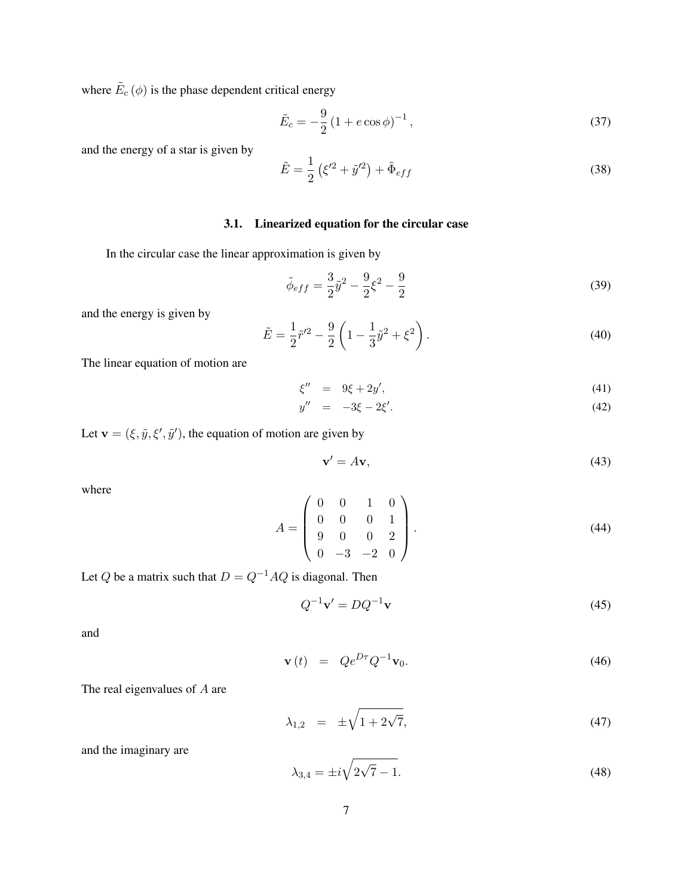where  $\tilde{E}_c(\phi)$  is the phase dependent critical energy

$$
\tilde{E}_c = -\frac{9}{2} \left( 1 + e \cos \phi \right)^{-1},\tag{37}
$$

and the energy of a star is given by

$$
\tilde{E} = \frac{1}{2} \left( \xi'^2 + \tilde{y}'^2 \right) + \tilde{\Phi}_{eff} \tag{38}
$$

## 3.1. Linearized equation for the circular case

In the circular case the linear approximation is given by

$$
\tilde{\phi}_{eff} = \frac{3}{2}\tilde{y}^2 - \frac{9}{2}\xi^2 - \frac{9}{2}
$$
\n(39)

and the energy is given by

$$
\tilde{E} = \frac{1}{2}\tilde{r}'^2 - \frac{9}{2}\left(1 - \frac{1}{3}\tilde{y}^2 + \xi^2\right).
$$
\n(40)

The linear equation of motion are

$$
\xi'' = 9\xi + 2y',\tag{41}
$$

$$
y'' = -3\xi - 2\xi'. \tag{42}
$$

Let  $\mathbf{v} = (\xi, \tilde{y}, \xi', \tilde{y}')$ , the equation of motion are given by

$$
\mathbf{v}' = A\mathbf{v},\tag{43}
$$

where

$$
A = \begin{pmatrix} 0 & 0 & 1 & 0 \\ 0 & 0 & 0 & 1 \\ 9 & 0 & 0 & 2 \\ 0 & -3 & -2 & 0 \end{pmatrix}.
$$
 (44)

Let Q be a matrix such that  $D = Q^{-1}AQ$  is diagonal. Then

$$
Q^{-1}\mathbf{v}' = DQ^{-1}\mathbf{v} \tag{45}
$$

and

$$
\mathbf{v}\left(t\right) = Qe^{D\tau}Q^{-1}\mathbf{v}_0. \tag{46}
$$

The real eigenvalues of A are

$$
\lambda_{1,2} = \pm \sqrt{1 + 2\sqrt{7}},\tag{47}
$$

and the imaginary are

$$
\lambda_{3,4} = \pm i \sqrt{2\sqrt{7} - 1}.
$$
\n(48)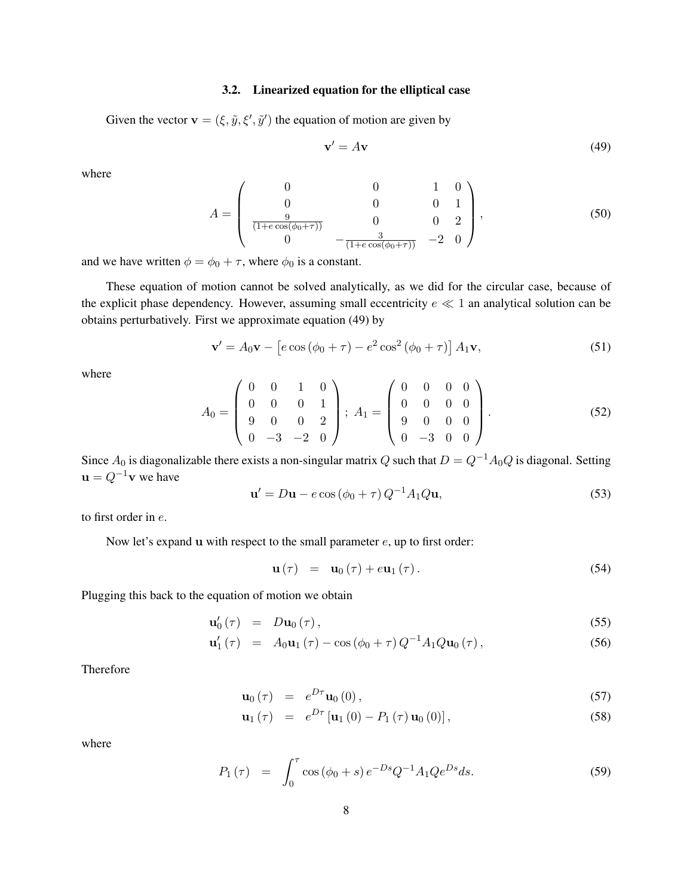#### 3.2. Linearized equation for the elliptical case

Given the vector  $\mathbf{v} = (\xi, \tilde{y}, \xi', \tilde{y}')$  the equation of motion are given by

$$
\mathbf{v}' = A\mathbf{v} \tag{49}
$$

where

$$
A = \begin{pmatrix} 0 & 0 & 1 & 0 \\ 0 & 0 & 0 & 1 \\ \frac{9}{(1 + e \cos(\phi_0 + \tau))} & 0 & 0 & 2 \\ 0 & -\frac{3}{(1 + e \cos(\phi_0 + \tau))} & -2 & 0 \end{pmatrix},
$$
(50)

and we have written  $\phi = \phi_0 + \tau$ , where  $\phi_0$  is a constant.

These equation of motion cannot be solved analytically, as we did for the circular case, because of the explicit phase dependency. However, assuming small eccentricity  $e \ll 1$  an analytical solution can be obtains perturbatively. First we approximate equation (49) by

$$
\mathbf{v}' = A_0 \mathbf{v} - \left[ e \cos \left( \phi_0 + \tau \right) - e^2 \cos^2 \left( \phi_0 + \tau \right) \right] A_1 \mathbf{v},\tag{51}
$$

where

$$
A_0 = \begin{pmatrix} 0 & 0 & 1 & 0 \\ 0 & 0 & 0 & 1 \\ 9 & 0 & 0 & 2 \\ 0 & -3 & -2 & 0 \end{pmatrix}; A_1 = \begin{pmatrix} 0 & 0 & 0 & 0 \\ 0 & 0 & 0 & 0 \\ 9 & 0 & 0 & 0 \\ 0 & -3 & 0 & 0 \end{pmatrix}.
$$
 (52)

Since  $A_0$  is diagonalizable there exists a non-singular matrix Q such that  $D = Q^{-1}A_0Q$  is diagonal. Setting  $\mathbf{u} = Q^{-1}\mathbf{v}$  we have

$$
\mathbf{u}' = D\mathbf{u} - e\cos\left(\phi_0 + \tau\right)Q^{-1}A_1Q\mathbf{u},\tag{53}
$$

to first order in e.

Now let's expand  $\bf{u}$  with respect to the small parameter  $e$ ,  $\bf{u}$  to first order:

$$
\mathbf{u}(\tau) = \mathbf{u}_0(\tau) + e \mathbf{u}_1(\tau). \tag{54}
$$

Plugging this back to the equation of motion we obtain

$$
\mathbf{u}'_0(\tau) = D\mathbf{u}_0(\tau), \qquad (55)
$$

$$
\mathbf{u}'_1(\tau) = A_0 \mathbf{u}_1(\tau) - \cos(\phi_0 + \tau) Q^{-1} A_1 Q \mathbf{u}_0(\tau), \qquad (56)
$$

Therefore

$$
\mathbf{u}_0\left(\tau\right) = e^{D\tau}\mathbf{u}_0\left(0\right),\tag{57}
$$

$$
\mathbf{u}_{1}(\tau) = e^{D\tau} [\mathbf{u}_{1}(0) - P_{1}(\tau) \mathbf{u}_{0}(0)], \qquad (58)
$$

where

$$
P_1(\tau) = \int_0^{\tau} \cos(\phi_0 + s) e^{-Ds} Q^{-1} A_1 Q e^{Ds} ds.
$$
 (59)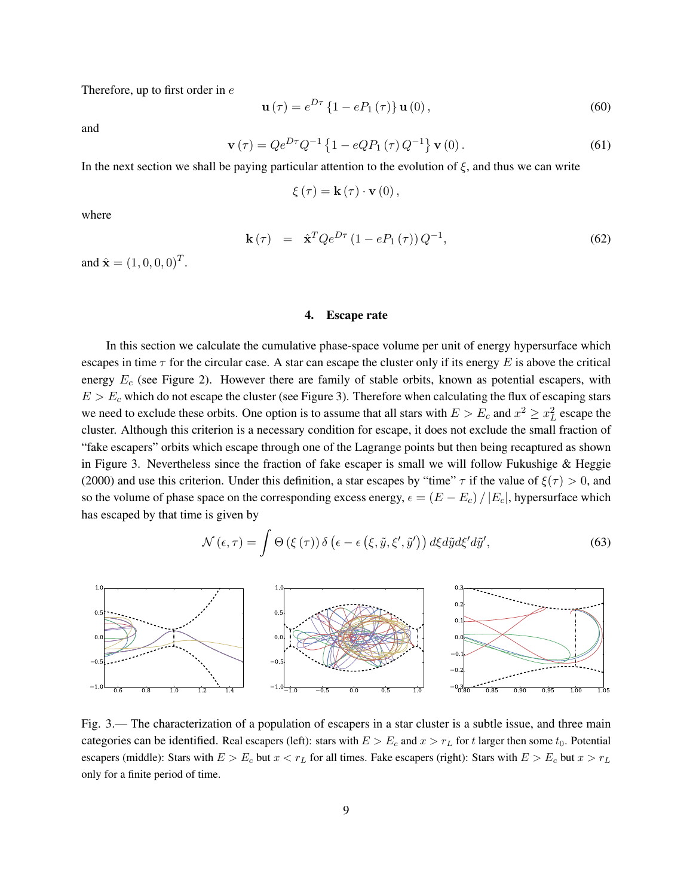Therefore, up to first order in  $e$ 

$$
\mathbf{u}(\tau) = e^{D\tau} \left\{ 1 - e P_1(\tau) \right\} \mathbf{u}(0), \tag{60}
$$

and

$$
\mathbf{v}(\tau) = Q e^{D\tau} Q^{-1} \left\{ 1 - e Q P_1(\tau) Q^{-1} \right\} \mathbf{v}(0).
$$
 (61)

In the next section we shall be paying particular attention to the evolution of  $\xi$ , and thus we can write

$$
\xi(\tau) = \mathbf{k}(\tau) \cdot \mathbf{v}(0),
$$

where

$$
\mathbf{k}\left(\tau\right) = \hat{\mathbf{x}}^{T} Q e^{D\tau} \left(1 - e P_{1}\left(\tau\right)\right) Q^{-1},\tag{62}
$$

and  $\hat{\mathbf{x}} = (1, 0, 0, 0)^T$ .

#### 4. Escape rate

In this section we calculate the cumulative phase-space volume per unit of energy hypersurface which escapes in time  $\tau$  for the circular case. A star can escape the cluster only if its energy E is above the critical energy  $E_c$  (see Figure 2). However there are family of stable orbits, known as potential escapers, with  $E > E_c$  which do not escape the cluster (see Figure 3). Therefore when calculating the flux of escaping stars we need to exclude these orbits. One option is to assume that all stars with  $E > E_c$  and  $x^2 \ge x_L^2$  escape the cluster. Although this criterion is a necessary condition for escape, it does not exclude the small fraction of "fake escapers" orbits which escape through one of the Lagrange points but then being recaptured as shown in Figure 3. Nevertheless since the fraction of fake escaper is small we will follow Fukushige & Heggie (2000) and use this criterion. Under this definition, a star escapes by "time"  $\tau$  if the value of  $\xi(\tau) > 0$ , and so the volume of phase space on the corresponding excess energy,  $\epsilon = (E - E_c) / |E_c|$ , hypersurface which has escaped by that time is given by

$$
\mathcal{N}(\epsilon,\tau) = \int \Theta\left(\xi\left(\tau\right)\right)\delta\left(\epsilon - \epsilon\left(\xi,\tilde{y},\xi',\tilde{y}'\right)\right)d\xi d\tilde{y}d\xi'd\tilde{y}',\tag{63}
$$



Fig. 3.— The characterization of a population of escapers in a star cluster is a subtle issue, and three main categories can be identified. Real escapers (left): stars with  $E > E_c$  and  $x > r_L$  for t larger then some  $t_0$ . Potential escapers (middle): Stars with  $E > E_c$  but  $x < r_L$  for all times. Fake escapers (right): Stars with  $E > E_c$  but  $x > r_L$ only for a finite period of time.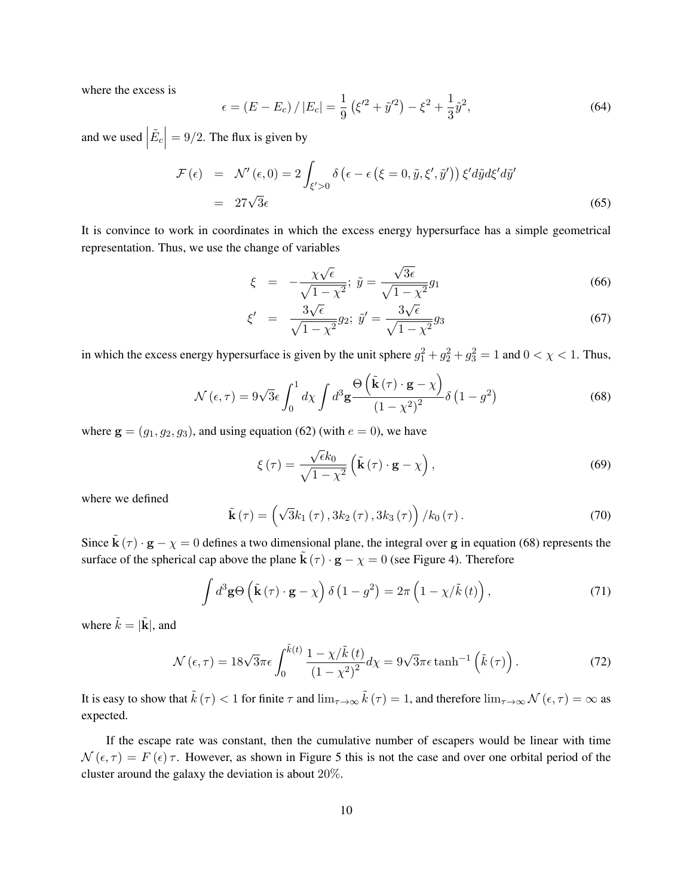where the excess is

$$
\epsilon = (E - E_c) / |E_c| = \frac{1}{9} (\xi'^2 + \tilde{y}'^2) - \xi^2 + \frac{1}{3} \tilde{y}^2,
$$
\n(64)

and we used  $\vert$  $\left| \tilde{E}_c \right|$  $= 9/2$ . The flux is given by

$$
\mathcal{F}(\epsilon) = \mathcal{N}'(\epsilon, 0) = 2 \int_{\xi' > 0} \delta\left(\epsilon - \epsilon\left(\xi = 0, \tilde{y}, \xi', \tilde{y}'\right)\right) \xi' d\tilde{y} d\xi' d\tilde{y}'
$$
  
= 27\sqrt{3}\epsilon (65)

It is convince to work in coordinates in which the excess energy hypersurface has a simple geometrical representation. Thus, we use the change of variables

$$
\xi = -\frac{\chi\sqrt{\epsilon}}{\sqrt{1-\chi^2}}; \ \tilde{y} = \frac{\sqrt{3\epsilon}}{\sqrt{1-\chi^2}}g_1\tag{66}
$$

$$
\xi' = \frac{3\sqrt{\epsilon}}{\sqrt{1 - \chi^2}} g_2; \ \tilde{y}' = \frac{3\sqrt{\epsilon}}{\sqrt{1 - \chi^2}} g_3 \tag{67}
$$

in which the excess energy hypersurface is given by the unit sphere  $g_1^2 + g_2^2 + g_3^2 = 1$  and  $0 < \chi < 1$ . Thus,

$$
\mathcal{N}(\epsilon,\tau) = 9\sqrt{3}\epsilon \int_0^1 d\chi \int d^3 \mathbf{g} \frac{\Theta\left(\tilde{\mathbf{k}}(\tau) \cdot \mathbf{g} - \chi\right)}{\left(1 - \chi^2\right)^2} \delta\left(1 - g^2\right) \tag{68}
$$

where  $\mathbf{g} = (g_1, g_2, g_3)$ , and using equation (62) (with  $e = 0$ ), we have

$$
\xi(\tau) = \frac{\sqrt{\epsilon}k_0}{\sqrt{1-\chi^2}} \left( \tilde{\mathbf{k}}\left(\tau\right) \cdot \mathbf{g} - \chi \right),\tag{69}
$$

where we defined

$$
\tilde{\mathbf{k}}\left(\tau\right) = \left(\sqrt{3}k_{1}\left(\tau\right), 3k_{2}\left(\tau\right), 3k_{3}\left(\tau\right)\right) / k_{0}\left(\tau\right). \tag{70}
$$

Since  $\tilde{\mathbf{k}}(\tau) \cdot \mathbf{g} - \chi = 0$  defines a two dimensional plane, the integral over g in equation (68) represents the surface of the spherical cap above the plane  $\tilde{\mathbf{k}}(\tau) \cdot \mathbf{g} - \chi = 0$  (see Figure 4). Therefore

$$
\int d^3 \mathbf{g} \Theta \left( \tilde{\mathbf{k}} \left( \tau \right) \cdot \mathbf{g} - \chi \right) \delta \left( 1 - g^2 \right) = 2\pi \left( 1 - \chi / \tilde{k} \left( t \right) \right),\tag{71}
$$

where  $\tilde{k} = |\tilde{k}|$ , and

$$
\mathcal{N}(\epsilon,\tau) = 18\sqrt{3}\pi\epsilon \int_0^{\tilde{k}(t)} \frac{1-\chi/\tilde{k}(t)}{\left(1-\chi^2\right)^2} d\chi = 9\sqrt{3}\pi\epsilon \tanh^{-1}\left(\tilde{k}(\tau)\right). \tag{72}
$$

It is easy to show that  $\tilde{k}(\tau) < 1$  for finite  $\tau$  and  $\lim_{\tau \to \infty} \tilde{k}(\tau) = 1$ , and therefore  $\lim_{\tau \to \infty} \mathcal{N}(\epsilon, \tau) = \infty$  as expected.

If the escape rate was constant, then the cumulative number of escapers would be linear with time  $\mathcal{N}(\epsilon, \tau) = F(\epsilon) \tau$ . However, as shown in Figure 5 this is not the case and over one orbital period of the cluster around the galaxy the deviation is about 20%.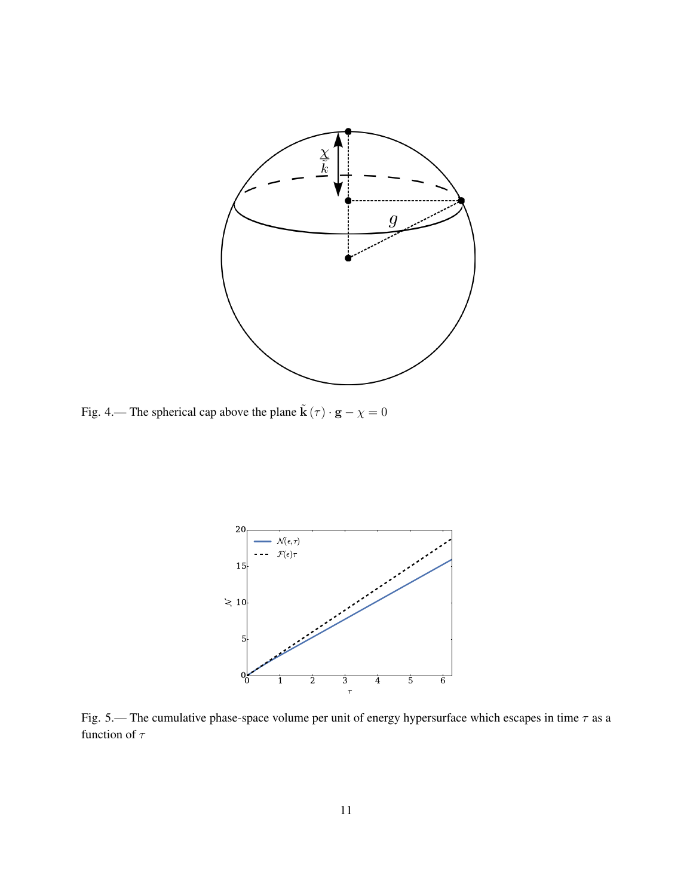

Fig. 4.— The spherical cap above the plane  $\tilde{\mathbf{k}}(\tau) \cdot \mathbf{g} - \chi = 0$ 



Fig. 5.— The cumulative phase-space volume per unit of energy hypersurface which escapes in time  $\tau$  as a function of  $\tau$